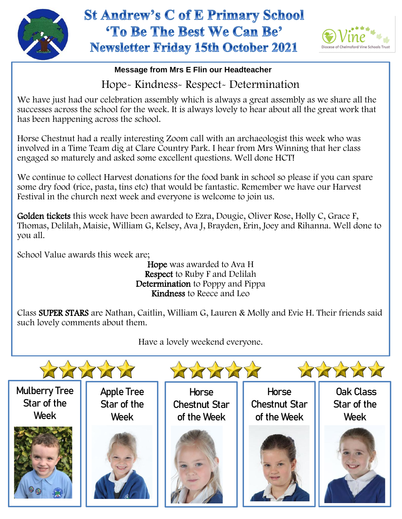

## **St Andrew's C of E Primary School** 'To Be The Best We Can Be' **Newsletter Friday 15th October 2021**



## **Message from Mrs E Flin our Headteacher**

Hope- Kindness- Respect- Determination

We have just had our celebration assembly which is always a great assembly as we share all the successes across the school for the week. It is always lovely to hear about all the great work that has been happening across the school.

Horse Chestnut had a really interesting Zoom call with an archaeologist this week who was involved in a Time Team dig at Clare Country Park. I hear from Mrs Winning that her class engaged so maturely and asked some excellent questions. Well done HCT!

We continue to collect Harvest donations for the food bank in school so please if you can spare some dry food (rice, pasta, tins etc) that would be fantastic. Remember we have our Harvest Festival in the church next week and everyone is welcome to join us.

 Thomas, Delilah, Maisie, William G, Kelsey, Ava J, Brayden, Erin, Joey and Rihanna. Well done to Golden tickets this week have been awarded to Ezra, Dougie, Oliver Rose, Holly C, Grace F, you all.

School Value awards this week are;

Hope was awarded to Ava H Respect to Ruby F and Delilah Determination to Poppy and Pippa Kindness to Reece and Leo

Class SUPER STARS are Nathan, Caitlin, William G, Lauren & Molly and Evie H. Their friends said such lovely comments about them.

Have a lovely weekend everyone.

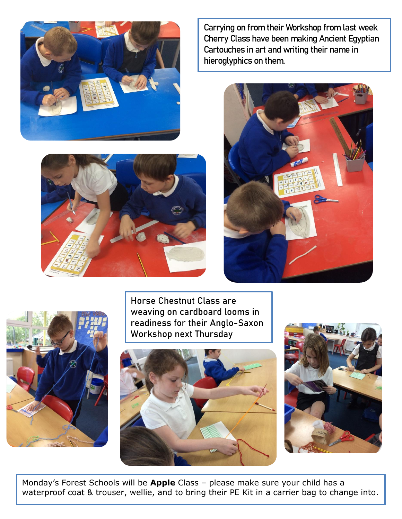

Carrying on from their Workshop from last week Cherry Class have been making Ancient Egyptian Cartouches in art and writing their name in hieroglyphics on them.





Horse Chestnut Class are weaving on cardboard looms in readiness for their Anglo-Saxon Workshop next Thursday





Monday's Forest Schools will be **Apple** Class – please make sure your child has a waterproof coat & trouser, wellie, and to bring their PE Kit in a carrier bag to change into.